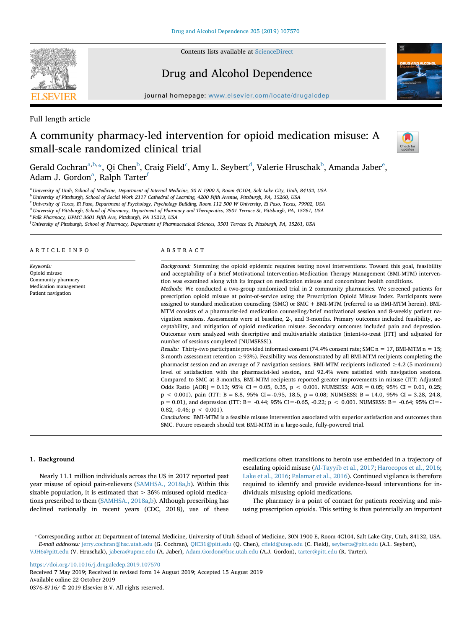

Contents lists available at [ScienceDirect](http://www.sciencedirect.com/science/journal/03768716)

# Drug and Alcohol Dependence



journal homepage: [www.elsevier.com/locate/drugalcdep](https://www.elsevier.com/locate/drugalcdep)

Full length article

# A community pharmacy-led intervention for opioid medication misuse: A small-scale randomized clinical trial



Gerald Cochran<sup>a,[b](#page-0-1),</sup>[\\*,](#page-0-2) Qi Chen<sup>b</sup>, Craig Field<sup>[c](#page-0-3)</sup>, Amy L. Seybert<sup>[d](#page-0-4)</sup>, Valerie Hruschak<sup>b</sup>, Amanda Jaber<sup>e</sup>, Adam J. Gordon<sup>a</sup>, Ralph Tarter<sup>f</sup>

<span id="page-0-0"></span><sup>a</sup> *University of Utah, School of Medicine, Department of Internal Medicine, 30 N 1900 E, Room 4C104, Salt Lake City, Utah, 84132, USA*

<span id="page-0-1"></span><sup>b</sup> *University of Pittsburgh, School of Social Work 2117 Cathedral of Learning, 4200 Fifth Avenue, Pittsburgh, PA, 15260, USA*

<span id="page-0-3"></span><sup>c</sup> *University of Texas, El Paso, Department of Psychology, Psychology Building, Room 112 500 W University, El Paso, Texas, 79902, USA*

<span id="page-0-4"></span><sup>d</sup> *University of Pittsburgh, School of Pharmacy, Department of Pharmacy and Therapeutics, 3501 Terrace St, Pittsburgh, PA, 15261, USA*

<span id="page-0-5"></span><sup>e</sup> *Falk Pharmacy, UPMC 3601 Fifth Ave, Pittsburgh, PA 15213, USA*

<span id="page-0-6"></span>f *University of Pittsburgh, School of Pharmacy, Department of Pharmaceutical Sciences, 3501 Terrace St, Pittsburgh, PA, 15261, USA*

#### ARTICLE INFO

*Keywords:* Opioid misuse Community pharmacy Medication management Patient navigation

#### ABSTRACT

*Background:* Stemming the opioid epidemic requires testing novel interventions. Toward this goal, feasibility and acceptability of a Brief Motivational Intervention-Medication Therapy Management (BMI-MTM) intervention was examined along with its impact on medication misuse and concomitant health conditions.

*Methods:* We conducted a two-group randomized trial in 2 community pharmacies. We screened patients for prescription opioid misuse at point-of-service using the Prescription Opioid Misuse Index. Participants were assigned to standard medication counseling (SMC) or SMC + BMI-MTM (referred to as BMI-MTM herein). BMI-MTM consists of a pharmacist-led medication counseling/brief motivational session and 8-weekly patient navigation sessions. Assessments were at baseline, 2-, and 3-months. Primary outcomes included feasibility, acceptability, and mitigation of opioid medication misuse. Secondary outcomes included pain and depression. Outcomes were analyzed with descriptive and multivariable statistics (intent-to-treat [ITT] and adjusted for number of sessions completed [NUMSESS]).

*Results:* Thirty-two participants provided informed consent (74.4% consent rate; SMC  $n = 17$ , BMI-MTM  $n = 15$ ; 3-month assessment retention ≥93%). Feasibility was demonstrated by all BMI-MTM recipients completing the pharmacist session and an average of 7 navigation sessions. BMI-MTM recipients indicated ≥4.2 (5 maximum) level of satisfaction with the pharmacist-led session, and 92.4% were satisfied with navigation sessions. Compared to SMC at 3-months, BMI-MTM recipients reported greater improvements in misuse (ITT: Adjusted Odds Ratio [AOR] = 0.13; 95% CI = 0.05, 0.35, p < 0.001. NUMSESS: AOR = 0.05; 95% CI = 0.01, 0.25;  $p < 0.001$ ), pain (ITT:  $B = 8.8$ , 95% CI = -0.95, 18.5,  $p = 0.08$ ; NUMSESS:  $B = 14.0$ , 95% CI = 3.28, 24.8, p = 0.01), and depression (ITT: B= -0.44; 95% CI=-0.65, -0.22; p < 0.001. NUMSESS: B= -0.64; 95% CI=- 0.82,  $-0.46$ ;  $p < 0.001$ ).

*Conclusions:* BMI-MTM is a feasible misuse intervention associated with superior satisfaction and outcomes than SMC. Future research should test BMI-MTM in a large-scale, fully-powered trial.

## **1. Background**

Nearly 11.1 million individuals across the US in 2017 reported past year misuse of opioid pain-relievers [\(SAMHSA., 2018a,](#page-6-0)[b](#page-6-1)). Within this sizable population, it is estimated that  $> 36\%$  misused opioid medications prescribed to them ([SAMHSA., 2018a](#page-6-0),[b\)](#page-6-1). Although prescribing has declined nationally in recent years (CDC, 2018), use of these medications often transitions to heroin use embedded in a trajectory of escalating opioid misuse ([Al-Tayyib et al., 2017;](#page-5-0) [Harocopos et al., 2016](#page-5-1); [Lake et al., 2016](#page-6-2); [Palamar et al., 2016\)](#page-6-3). Continued vigilance is therefore required to identify and provide evidence-based interventions for individuals misusing opioid medications.

The pharmacy is a point of contact for patients receiving and misusing prescription opioids. This setting is thus potentially an important

<https://doi.org/10.1016/j.drugalcdep.2019.107570> Received 7 May 2019; Received in revised form 14 August 2019; Accepted 15 August 2019 Available online 22 October 2019

0376-8716/ © 2019 Elsevier B.V. All rights reserved.

<span id="page-0-2"></span><sup>⁎</sup> Corresponding author at: Department of Internal Medicine, University of Utah School of Medicine, 30N 1900 E, Room 4C104, Salt Lake City, Utah, 84132, USA. *E-mail addresses:* [jerry.cochran@hsc.utah.edu](mailto:jerry.cochran@hsc.utah.edu) (G. Cochran), [QIC31@pitt.edu](mailto:QIC31@pitt.edu) (Q. Chen), [cfield@utep.edu](mailto:cfield@utep.edu) (C. Field), [seyberta@pitt.edu](mailto:seyberta@pitt.edu) (A.L. Seybert), [VJH6@pitt.edu](mailto:VJH6@pitt.edu) (V. Hruschak), [jabera@upmc.edu](mailto:jabera@upmc.edu) (A. Jaber), [Adam.Gordon@hsc.utah.edu](mailto:Adam.Gordon@hsc.utah.edu) (A.J. Gordon), [tarter@pitt.edu](mailto:tarter@pitt.edu) (R. Tarter).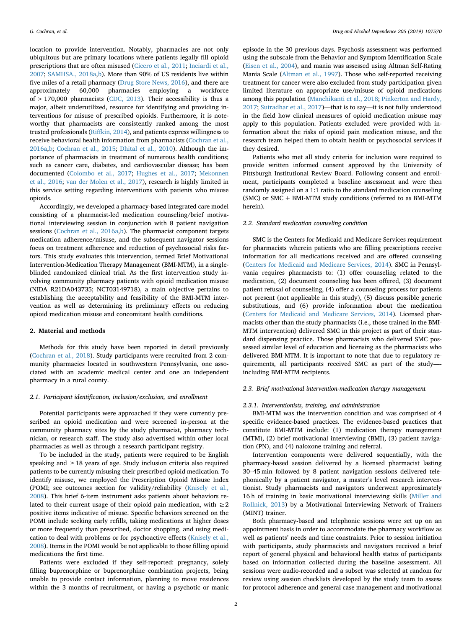location to provide intervention. Notably, pharmacies are not only ubiquitous but are primary locations where patients legally fill opioid prescriptions that are often misused ([Cicero et al., 2011;](#page-5-2) [Inciardi et al.,](#page-5-3) [2007;](#page-5-3) [SAMHSA., 2018a,](#page-6-0)[b](#page-6-1)). More than 90% of US residents live within five miles of a retail pharmacy ([Drug Store News, 2016\)](#page-5-4), and there are approximately 60,000 pharmacies employing a workforce of  $> 170,000$  pharmacists ([CDC, 2013\)](#page-5-5). Their accessibility is thus a major, albeit underutilized, resource for identifying and providing interventions for misuse of prescribed opioids. Furthermore, it is noteworthy that pharmacists are consistently ranked among the most trusted professionals ([Riffkin, 2014\)](#page-6-4), and patients express willingness to receive behavioral health information from pharmacists ([Cochran et al.,](#page-5-6) [2016a,](#page-5-6)[b](#page-5-7); [Cochran et al., 2015](#page-5-8); [Dhital et al., 2010](#page-5-9)). Although the importance of pharmacists in treatment of numerous health conditions; such as cancer care, diabetes, and cardiovascular disease; has been documented ([Colombo et al., 2017](#page-5-10); [Hughes et al., 2017;](#page-5-11) [Mekonnen](#page-6-5) [et al., 2016;](#page-6-5) [van der Molen et al., 2017\)](#page-6-6), research is highly limited in this service setting regarding interventions with patients who misuse opioids.

Accordingly, we developed a pharmacy-based integrated care model consisting of a pharmacist-led medication counseling/brief motivational interviewing session in conjunction with 8 patient navigation sessions [\(Cochran et al., 2016a](#page-5-6),[b\)](#page-5-7). The pharmacist component targets medication adherence/misuse, and the subsequent navigator sessions focus on treatment adherence and reduction of psychosocial risks factors. This study evaluates this intervention, termed Brief Motivational Intervention-Medication Therapy Management (BMI-MTM), in a singleblinded randomized clinical trial. As the first intervention study involving community pharmacy patients with opioid medication misuse (NIDA R21DA043735; NCT03149718), a main objective pertains to establishing the acceptability and feasibility of the BMI-MTM intervention as well as determining its preliminary effects on reducing opioid medication misuse and concomitant health conditions.

## **2. Material and methods**

Methods for this study have been reported in detail previously ([Cochran et al., 2018\)](#page-5-12). Study participants were recruited from 2 community pharmacies located in southwestern Pennsylvania, one associated with an academic medical center and one an independent pharmacy in a rural county.

## *2.1. Participant identification, inclusion/exclusion, and enrollment*

Potential participants were approached if they were currently prescribed an opioid medication and were screened in-person at the community pharmacy sites by the study pharmacist, pharmacy technician, or research staff. The study also advertised within other local pharmacies as well as through a research participant registry.

To be included in the study, patients were required to be English speaking and ≥18 years of age. Study inclusion criteria also required patients to be currently misusing their prescribed opioid medication. To identify misuse, we employed the Prescription Opioid Misuse Index (POMI; see outcomes section for validity/reliability ([Knisely et al.,](#page-5-13) [2008\)](#page-5-13). This brief 6-item instrument asks patients about behaviors related to their current usage of their opioid pain medication, with  $\geq 2$ positive items indicative of misuse. Specific behaviors screened on the POMI include seeking early refills, taking medications at higher doses or more frequently than prescribed, doctor shopping, and using medication to deal with problems or for psychoactive effects ([Knisely et al.,](#page-5-13) [2008\)](#page-5-13). Items in the POMI would be not applicable to those filling opioid medications the first time.

Patients were excluded if they self-reported: pregnancy, solely filling buprenorphine or buprenorphine combination projects, being unable to provide contact information, planning to move residences within the 3 months of recruitment, or having a psychotic or manic

episode in the 30 previous days. Psychosis assessment was performed using the subscale from the Behavior and Symptom Identification Scale ([Eisen et al., 2004](#page-5-14)), and mania was assessed using Altman Self-Rating Mania Scale [\(Altman et al., 1997\)](#page-5-15). Those who self-reported receiving treatment for cancer were also excluded from study participation given limited literature on appropriate use/misuse of opioid medications among this population [\(Manchikanti et al., 2018](#page-6-7); [Pinkerton and Hardy,](#page-6-8) [2017;](#page-6-8) [Sutradhar et al., 2017](#page-6-9))—that is to say—it is not fully understood in the field how clinical measures of opioid medication misuse may apply to this population. Patients excluded were provided with information about the risks of opioid pain medication misuse, and the research team helped them to obtain health or psychosocial services if they desired.

Patients who met all study criteria for inclusion were required to provide written informed consent approved by the University of Pittsburgh Institutional Review Board. Following consent and enrollment, participants completed a baseline assessment and were then randomly assigned on a 1:1 ratio to the standard medication counseling (SMC) or SMC + BMI-MTM study conditions (referred to as BMI-MTM herein).

# *2.2. Standard medication counseling condition*

SMC is the Centers for Medicaid and Medicare Services requirement for pharmacists wherein patients who are filling prescriptions receive information for all medications received and are offered counseling ([Centers for Medicaid and Medicare Services, 2014\)](#page-6-10). SMC in Pennsylvania requires pharmacists to: (1) offer counseling related to the medication, (2) document counseling has been offered, (3) document patient refusal of counseling, (4) offer a counseling process for patients not present (not applicable in this study), (5) discuss possible generic substitutions, and (6) provide information about the medication ([Centers for Medicaid and Medicare Services, 2014\)](#page-6-10). Licensed pharmacists other than the study pharmacists (i.e., those trained in the BMI-MTM intervention) delivered SMC in this project as part of their standard dispensing practice. Those pharmacists who delivered SMC possessed similar level of education and licensing as the pharmacists who delivered BMI-MTM. It is important to note that due to regulatory requirements, all participants received SMC as part of the study— including BMI-MTM recipients.

# *2.3. Brief motivational intervention-medication therapy management*

# *2.3.1. Interventionists, training, and administration*

BMI-MTM was the intervention condition and was comprised of 4 specific evidence-based practices. The evidence-based practices that constitute BMI-MTM include: (1) medication therapy management (MTM), (2) brief motivational interviewing (BMI), (3) patient navigation (PN), and (4) naloxone training and referral.

Intervention components were delivered sequentially, with the pharmacy-based session delivered by a licensed pharmacist lasting 30–45 min followed by 8 patient navigation sessions delivered telephonically by a patient navigator, a master's level research interventionist. Study pharmacists and navigators underwent approximately 16 h of training in basic motivational interviewing skills ([Miller and](#page-6-11) [Rollnick, 2013\)](#page-6-11) by a Motivational Interviewing Network of Trainers (MINT) trainer.

Both pharmacy-based and telephonic sessions were set up on an appointment basis in order to accommodate the pharmacy workflow as well as patients' needs and time constraints. Prior to session initiation with participants, study pharmacists and navigators received a brief report of general physical and behavioral health status of participants based on information collected during the baseline assessment. All sessions were audio-recorded and a subset was selected at random for review using session checklists developed by the study team to assess for protocol adherence and general case management and motivational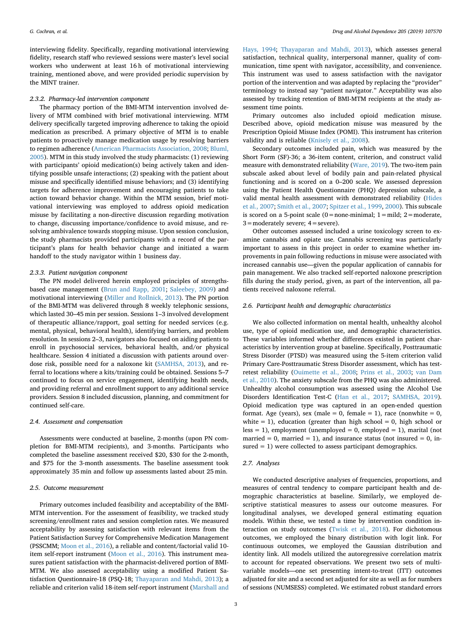interviewing fidelity. Specifically, regarding motivational interviewing fidelity, research staff who reviewed sessions were master's level social workers who underwent at least 16 h of motivational interviewing training, mentioned above, and were provided periodic supervision by the MINT trainer.

#### *2.3.2. Pharmacy-led intervention component*

The pharmacy portion of the BMI-MTM intervention involved delivery of MTM combined with brief motivational interviewing. MTM delivery specifically targeted improving adherence to taking the opioid medication as prescribed. A primary objective of MTM is to enable patients to proactively manage medication usage by resolving barriers to regimen adherence ([American Pharmacists Association, 2008](#page-5-16); [Bluml,](#page-5-17) [2005\)](#page-5-17). MTM in this study involved the study pharmacists: (1) reviewing with participants' opioid medication(s) being actively taken and identifying possible unsafe interactions; (2) speaking with the patient about misuse and specifically identified misuse behaviors; and (3) identifying targets for adherence improvement and encouraging patients to take action toward behavior change. Within the MTM session, brief motivational interviewing was employed to address opioid medication misuse by facilitating a non-directive discussion regarding motivation to change, discussing importance/confidence to avoid misuse, and resolving ambivalence towards stopping misuse. Upon session conclusion, the study pharmacists provided participants with a record of the participant's plans for health behavior change and initiated a warm handoff to the study navigator within 1 business day.

#### *2.3.3. Patient navigation component*

The PN model delivered herein employed principles of strengthsbased case management ([Brun and Rapp, 2001](#page-5-18); [Saleebey, 2009](#page-6-12)) and motivational interviewing [\(Miller and Rollnick, 2013](#page-6-11)). The PN portion of the BMI-MTM was delivered through 8 weekly telephonic sessions, which lasted 30–45 min per session. Sessions 1–3 involved development of therapeutic alliance/rapport, goal setting for needed services (e.g. mental, physical, behavioral health), identifying barriers, and problem resolution. In sessions 2–3, navigators also focused on aiding patients to enroll in psychosocial services, behavioral health, and/or physical healthcare. Session 4 initiated a discussion with patients around overdose risk, possible need for a naloxone kit ([SAMHSA, 2013](#page-6-13)), and referral to locations where a kits/training could be obtained. Sessions 5–7 continued to focus on service engagement, identifying health needs, and providing referral and enrollment support to any additional service providers. Session 8 included discussion, planning, and commitment for continued self-care.

#### *2.4. Assessment and compensation*

Assessments were conducted at baseline, 2-months (upon PN completion for BMI-MTM recipients), and 3-months. Participants who completed the baseline assessment received \$20, \$30 for the 2-month, and \$75 for the 3-month assessments. The baseline assessment took approximately 35 min and follow up assessments lasted about 25 min.

## *2.5. Outcome measurement*

Primary outcomes included feasibility and acceptability of the BMI-MTM intervention. For the assessment of feasibility, we tracked study screening/enrollment rates and session completion rates. We measured acceptability by assessing satisfaction with relevant items from the Patient Satisfaction Survey for Comprehensive Medication Management (PSSCMM; [Moon et al., 2016\)](#page-6-14), a reliable and content/factorial valid 10 item self-report instrument ([Moon et al., 2016](#page-6-14)). This instrument measures patient satisfaction with the pharmacist-delivered portion of BMI-MTM. We also assessed acceptability using a modified Patient Satisfaction Questionnaire-18 (PSQ-18; [Thayaparan and Mahdi, 2013\)](#page-6-15); a reliable and criterion valid 18-item self-report instrument [\(Marshall and](#page-6-16)

[Hays, 1994](#page-6-16); [Thayaparan and Mahdi, 2013\)](#page-6-15), which assesses general satisfaction, technical quality, interpersonal manner, quality of communication, time spent with navigator, accessibility, and convenience. This instrument was used to assess satisfaction with the navigator portion of the intervention and was adapted by replacing the "provider" terminology to instead say "patient navigator." Acceptability was also assessed by tracking retention of BMI-MTM recipients at the study assessment time points.

Primary outcomes also included opioid medication misuse. Described above, opioid medication misuse was measured by the Prescription Opioid Misuse Index (POMI). This instrument has criterion validity and is reliable [\(Knisely et al., 2008](#page-5-13)).

Secondary outcomes included pain, which was measured by the Short Form (SF)-36; a 36-item content, criterion, and construct valid measure with demonstrated reliability [\(Ware, 2019](#page-6-17)). The two-item pain subscale asked about level of bodily pain and pain-related physical functioning and is scored on a 0–200 scale. We assessed depression using the Patient Health Questionnaire (PHQ) depression subscale, a valid mental health assessment with demonstrated reliability ([Hides](#page-5-19) [et al., 2007;](#page-5-19) [Smith et al., 2007](#page-6-18); [Spitzer et al., 1999](#page-6-19), [2000](#page-6-20)). This subscale is scored on a 5-point scale ( $0=$ none-minimal;  $1=$ mild;  $2=$ moderate,  $3 =$ moderately severe;  $4 =$ severe).

Other outcomes assessed included a urine toxicology screen to examine cannabis and opiate use. Cannabis screening was particularly important to assess in this project in order to examine whether improvements in pain following reductions in misuse were associated with increased cannabis use—given the popular application of cannabis for pain management. We also tracked self-reported naloxone prescription fills during the study period, given, as part of the intervention, all patients received naloxone referral.

## *2.6. Participant health and demographic characteristics*

We also collected information on mental health, unhealthy alcohol use, type of opioid medication use, and demographic characteristics. These variables informed whether differences existed in patient characteristics by intervention group at baseline. Specifically, Posttraumatic Stress Disorder (PTSD) was measured using the 5-item criterion valid Primary Care-Posttraumatic Stress Disorder assessment, which has testretest reliability ([Ouimette et al., 2008](#page-6-21); [Prins et al., 2003](#page-6-22); [van Dam](#page-6-23) [et al., 2010](#page-6-23)). The anxiety subscale from the PHQ was also administered. Unhealthy alcohol consumption was assessed using the Alcohol Use Disorders Identification Test-C ([Han et al., 2017](#page-5-20); [SAMHSA, 2019](#page-6-24)). Opioid medication type was captured in an open-ended question format. Age (years), sex (male = 0, female = 1), race (nonwhite =  $0$ , white  $= 1$ ), education (greater than high school  $= 0$ , high school or  $less = 1$ ), employment (unemployed = 0, employed = 1), marital (not married = 0, married = 1), and insurance status (not insured = 0, insured = 1) were collected to assess participant demographics.

#### *2.7. Analyses*

We conducted descriptive analyses of frequencies, proportions, and measures of central tendency to compare participant health and demographic characteristics at baseline. Similarly, we employed descriptive statistical measures to assess our outcome measures. For longitudinal analyses, we developed general estimating equation models. Within these, we tested a time by intervention condition interaction on study outcomes ([Twisk et al., 2018](#page-6-25)). For dichotomous outcomes, we employed the binary distribution with logit link. For continuous outcomes, we employed the Gaussian distribution and identity link. All models utilized the autoregressive correlation matrix to account for repeated observations. We present two sets of multivariable models—one set presenting intent-to-treat (ITT) outcomes adjusted for site and a second set adjusted for site as well as for numbers of sessions (NUMSESS) completed. We estimated robust standard errors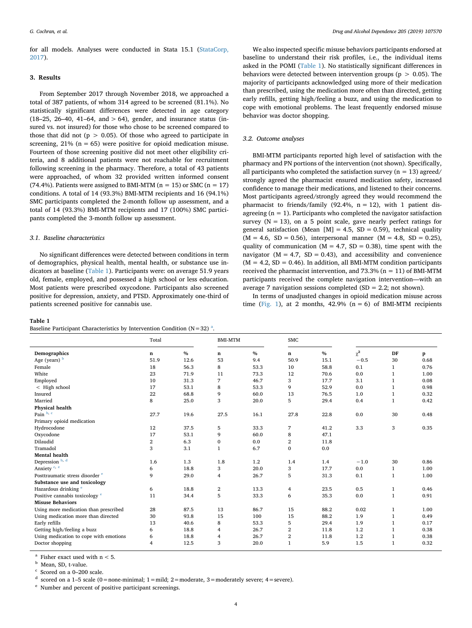for all models. Analyses were conducted in Stata 15.1 ([StataCorp,](#page-6-26) [2017\)](#page-6-26).

## **3. Results**

From September 2017 through November 2018, we approached a total of 387 patients, of whom 314 agreed to be screened (81.1%). No statistically significant differences were detected in age category  $(18-25, 26-40, 41-64, and > 64)$ , gender, and insurance status (insured vs. not insured) for those who chose to be screened compared to those that did not ( $p > 0.05$ ). Of those who agreed to participate in screening,  $21\%$  (n = 65) were positive for opioid medication misuse. Fourteen of those screening positive did not meet other eligibility criteria, and 8 additional patients were not reachable for recruitment following screening in the pharmacy. Therefore, a total of 43 patients were approached, of whom 32 provided written informed consent (74.4%). Patients were assigned to BMI-MTM ( $n = 15$ ) or SMC ( $n = 17$ ) conditions. A total of 14 (93.3%) BMI-MTM recipients and 16 (94.1%) SMC participants completed the 2-month follow up assessment, and a total of 14 (93.3%) BMI-MTM recipients and 17 (100%) SMC participants completed the 3-month follow up assessment.

## *3.1. Baseline characteristics*

No significant differences were detected between conditions in term of demographics, physical health, mental health, or substance use indicators at baseline [\(Table 1\)](#page-3-0). Participants were: on average 51.9 years old, female, employed, and possessed a high school or less education. Most patients were prescribed oxycodone. Participants also screened positive for depression, anxiety, and PTSD. Approximately one-third of patients screened positive for cannabis use.

#### <span id="page-3-0"></span>**Table 1**

B[a](#page-3-1)seline Participant Characteristics by Intervention Condition ( $N=32$ )<sup>a</sup>.

We also inspected specific misuse behaviors participants endorsed at baseline to understand their risk profiles, i.e., the individual items asked in the POMI [\(Table 1\)](#page-3-0). No statistically significant differences in behaviors were detected between intervention groups ( $p > 0.05$ ). The majority of participants acknowledged using more of their medication than prescribed, using the medication more often than directed, getting early refills, getting high/feeling a buzz, and using the medication to cope with emotional problems. The least frequently endorsed misuse behavior was doctor shopping.

#### *3.2. Outcome analyses*

BMI-MTM participants reported high level of satisfaction with the pharmacy and PN portions of the intervention (not shown). Specifically, all participants who completed the satisfaction survey ( $n = 13$ ) agreed/ strongly agreed the pharmacist ensured medication safety, increased confidence to manage their medications, and listened to their concerns. Most participants agreed/strongly agreed they would recommend the pharmacist to friends/family (92.4%,  $n = 12$ ), with 1 patient disagreeing ( $n = 1$ ). Participants who completed the navigator satisfaction survey  $(N = 13)$ , on a 5 point scale, gave nearly perfect ratings for general satisfaction (Mean  $[M] = 4.5$ , SD = 0.59), technical quality  $(M = 4.6, SD = 0.56)$ , interpersonal manner  $(M = 4.8, SD = 0.25)$ , quality of communication ( $M = 4.7$ ,  $SD = 0.38$ ), time spent with the navigator ( $M = 4.7$ ,  $SD = 0.43$ ), and accessibility and convenience  $(M = 4.2, SD = 0.46)$ . In addition, all BMI-MTM condition participants received the pharmacist intervention, and  $73.3\%$  (n = 11) of BMI-MTM participants received the complete navigation intervention—with an average 7 navigation sessions completed (SD = 2.2; not shown).

In terms of unadjusted changes in opioid medication misuse across time ([Fig. 1\)](#page-4-0), at 2 months, 42.9% ( $n = 6$ ) of BMI-MTM recipients

| $\alpha$ and $\alpha$ and $\alpha$ and $\alpha$ and $\alpha$ and $\alpha$ and $\alpha$ and $\alpha$ and $\alpha$ and $\alpha$ and $\alpha$ and $\alpha$ and $\alpha$ and $\alpha$ and $\alpha$ and $\alpha$ and $\alpha$ and $\alpha$ and $\alpha$ and $\alpha$ and $\alpha$ and $\alpha$ and $\alpha$ and $\alpha$ and $\alpha$ |                         |      |                |      |                |      |          |              |      |
|----------------------------------------------------------------------------------------------------------------------------------------------------------------------------------------------------------------------------------------------------------------------------------------------------------------------------------|-------------------------|------|----------------|------|----------------|------|----------|--------------|------|
|                                                                                                                                                                                                                                                                                                                                  | Total                   |      | <b>BMI-MTM</b> |      | <b>SMC</b>     |      |          |              |      |
| Demographics                                                                                                                                                                                                                                                                                                                     | n                       | $\%$ | n              | $\%$ | n              | $\%$ | $\chi^2$ | DF           | p    |
| Age (years) b                                                                                                                                                                                                                                                                                                                    | 51.9                    | 12.6 | 53             | 9.4  | 50.9           | 15.1 | $-0.5$   | 30           | 0.68 |
| Female                                                                                                                                                                                                                                                                                                                           | 18                      | 56.3 | 8              | 53.3 | 10             | 58.8 | 0.1      | 1            | 0.76 |
| White                                                                                                                                                                                                                                                                                                                            | 23                      | 71.9 | 11             | 73.3 | 12             | 70.6 | 0.0      | 1            | 1.00 |
| Employed                                                                                                                                                                                                                                                                                                                         | 10                      | 31.3 | 7              | 46.7 | 3              | 17.7 | 3.1      | 1            | 0.08 |
| < High school                                                                                                                                                                                                                                                                                                                    | 17                      | 53.1 | 8              | 53.3 | 9              | 52.9 | 0.0      | 1            | 0.98 |
| Insured                                                                                                                                                                                                                                                                                                                          | 22                      | 68.8 | 9              | 60.0 | 13             | 76.5 | 1.0      | $\mathbf{1}$ | 0.32 |
| Married                                                                                                                                                                                                                                                                                                                          | 8                       | 25.0 | 3              | 20.0 | 5              | 29.4 | 0.4      | $\mathbf{1}$ | 0.42 |
| Physical health                                                                                                                                                                                                                                                                                                                  |                         |      |                |      |                |      |          |              |      |
| Pain b, c                                                                                                                                                                                                                                                                                                                        | 27.7                    | 19.6 | 27.5           | 16.1 | 27.8           | 22.8 | 0.0      | 30           | 0.48 |
| Primary opioid medication                                                                                                                                                                                                                                                                                                        |                         |      |                |      |                |      |          |              |      |
| Hydrocodone                                                                                                                                                                                                                                                                                                                      | 12                      | 37.5 | 5              | 33.3 | 7              | 41.2 | 3.3      | 3            | 0.35 |
| Oxycodone                                                                                                                                                                                                                                                                                                                        | 17                      | 53.1 | 9              | 60.0 | 8              | 47.1 |          |              |      |
| Dilaudid                                                                                                                                                                                                                                                                                                                         | $\overline{\mathbf{2}}$ | 6.3  | $\bf{0}$       | 0.0  | $\overline{2}$ | 11.8 |          |              |      |
| Tramadol                                                                                                                                                                                                                                                                                                                         | 3                       | 3.1  | $\mathbf{1}$   | 6.7  | $\mathbf{0}$   | 0.0  |          |              |      |
| <b>Mental health</b>                                                                                                                                                                                                                                                                                                             |                         |      |                |      |                |      |          |              |      |
| Depression b, d                                                                                                                                                                                                                                                                                                                  | 1.6                     | 1.3  | 1.8            | 1.2  | 1.4            | 1.4  | $-1.0$   | 30           | 0.86 |
| Anxiety <sup>c, e</sup>                                                                                                                                                                                                                                                                                                          | 6                       | 18.8 | 3              | 20.0 | 3              | 17.7 | 0.0      | $\mathbf{1}$ | 1.00 |
| Posttraumatic stress disorder <sup>e</sup>                                                                                                                                                                                                                                                                                       | 9                       | 29.0 | 4              | 26.7 | 5              | 31.3 | 0.1      | $\mathbf{1}$ | 1.00 |
| Substance use and toxicology                                                                                                                                                                                                                                                                                                     |                         |      |                |      |                |      |          |              |      |
| Hazardous drinking <sup>e</sup>                                                                                                                                                                                                                                                                                                  | 6                       | 18.8 | $\overline{2}$ | 13.3 | 4              | 23.5 | 0.5      | $\mathbf{1}$ | 0.46 |
| Positive cannabis toxicology <sup>e</sup>                                                                                                                                                                                                                                                                                        | 11                      | 34.4 | 5              | 33.3 | 6              | 35.3 | 0.0      | $\mathbf{1}$ | 0.91 |
| <b>Misuse Behaviors</b>                                                                                                                                                                                                                                                                                                          |                         |      |                |      |                |      |          |              |      |
| Using more medication than prescribed                                                                                                                                                                                                                                                                                            | 28                      | 87.5 | 13             | 86.7 | 15             | 88.2 | 0.02     | 1            | 1.00 |
| Using medication more than directed                                                                                                                                                                                                                                                                                              | 30                      | 93.8 | 15             | 100  | 15             | 88.2 | 1.9      | 1            | 0.49 |
| Early refills                                                                                                                                                                                                                                                                                                                    | 13                      | 40.6 | 8              | 53.3 | 5              | 29.4 | 1.9      | 1            | 0.17 |
| Getting high/feeling a buzz                                                                                                                                                                                                                                                                                                      | 6                       | 18.8 | 4              | 26.7 | $\overline{2}$ | 11.8 | 1.2      | 1            | 0.38 |
| Using medication to cope with emotions                                                                                                                                                                                                                                                                                           | 6                       | 18.8 | 4              | 26.7 | $\overline{2}$ | 11.8 | 1.2      | 1            | 0.38 |
| Doctor shopping                                                                                                                                                                                                                                                                                                                  | 4                       | 12.5 | 3              | 20.0 | $\mathbf{1}$   | 5.9  | 1.5      | 1            | 0.32 |

<span id="page-3-1"></span><sup>a</sup> Fisher exact used with  $n < 5$ .

<span id="page-3-2"></span><sup>b</sup> Mean, SD, t-value.

<span id="page-3-3"></span>Scored on a 0-200 scale.

<span id="page-3-4"></span><sup>d</sup> scored on a 1-5 scale (0 = none-minimal; 1 = mild; 2 = moderate, 3 = moderately severe; 4 = severe).

<span id="page-3-5"></span><sup>e</sup> Number and percent of positive participant screenings.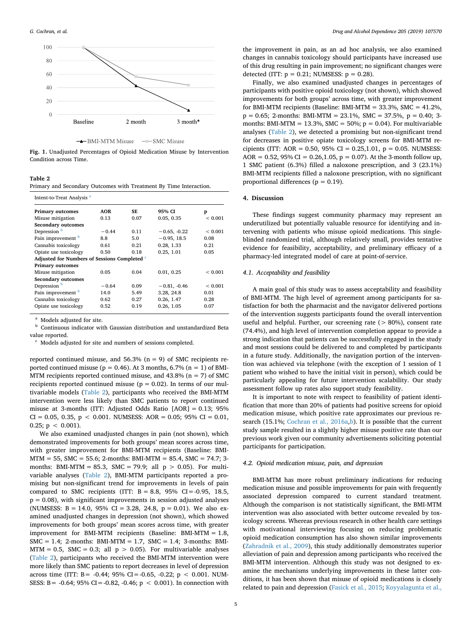<span id="page-4-0"></span>

-BMI-MTM Misuse  $-$  SMC Misuse

**Fig. 1.** Unadjusted Percentages of Opioid Medication Misuse by Intervention Condition across Time.

# <span id="page-4-1"></span>**Table 2**

|  |  | Primary and Secondary Outcomes with Treatment By Time Interaction. |
|--|--|--------------------------------------------------------------------|
|--|--|--------------------------------------------------------------------|

| Intent-to-Treat Analysis <sup>a</sup>                   |            |      |                |             |  |  |  |  |
|---------------------------------------------------------|------------|------|----------------|-------------|--|--|--|--|
| <b>Primary outcomes</b>                                 | <b>AOR</b> | SF.  | 95% CI         | p           |  |  |  |  |
| Misuse mitigation                                       | 0.13       | 0.07 | 0.05, 0.35     | ${}< 0.001$ |  |  |  |  |
| <b>Secondary outcomes</b>                               |            |      |                |             |  |  |  |  |
| Depression <b>b</b>                                     | $-0.44$    | 0.11 | $-0.65, -0.22$ | < 0.001     |  |  |  |  |
| Pain improvement <b>b</b>                               | 8.8        | 5.0  | $-0.95, 18.5$  | 0.08        |  |  |  |  |
| Cannabis toxicology                                     | 0.61       | 0.21 | 0.28, 1.33     | 0.21        |  |  |  |  |
| Opiate use toxicology                                   | 0.50       | 0.18 | 0.25.1.01      | 0.05        |  |  |  |  |
| Adjusted for Numbers of Sessions Completed <sup>c</sup> |            |      |                |             |  |  |  |  |
| <b>Primary outcomes</b>                                 |            |      |                |             |  |  |  |  |
| Misuse mitigation                                       | 0.05       | 0.04 | 0.01, 0.25     | < 0.001     |  |  |  |  |
| <b>Secondary outcomes</b>                               |            |      |                |             |  |  |  |  |
| Depression <sup>b</sup>                                 | $-0.64$    | 0.09 | $-0.81, -0.46$ | ${}< 0.001$ |  |  |  |  |
| Pain improvement <b>b</b>                               | 14.0       | 5.49 | 3.28, 24.8     | 0.01        |  |  |  |  |
| Cannabis toxicology                                     | 0.62       | 0.27 | 0.26, 1.47     | 0.28        |  |  |  |  |
| Opiate use toxicology                                   | 0.52       | 0.19 | 0.26, 1.05     | 0.07        |  |  |  |  |

<span id="page-4-2"></span><sup>a</sup> Models adjusted for site.

<span id="page-4-3"></span><sup>b</sup> Continuous indicator with Gaussian distribution and unstandardized Beta value reported.

<span id="page-4-4"></span>Models adjusted for site and numbers of sessions completed.

reported continued misuse, and  $56.3\%$  (n = 9) of SMC recipients reported continued misuse ( $p = 0.46$ ). At 3 months, 6.7% ( $n = 1$ ) of BMI-MTM recipients reported continued misuse, and  $43.8\%$  (n = 7) of SMC recipients reported continued misuse ( $p = 0.02$ ). In terms of our multivariable models ([Table 2](#page-4-1)), participants who received the BMI-MTM intervention were less likely than SMC patients to report continued misuse at 3-months (ITT: Adjusted Odds Ratio [AOR] = 0.13; 95%  $CI = 0.05, 0.35, p < 0.001$ . NUMSESS: AOR = 0.05; 95% CI = 0.01, 0.25;  $p < 0.001$ ).

We also examined unadjusted changes in pain (not shown), which demonstrated improvements for both groups' mean scores across time, with greater improvement for BMI-MTM recipients (Baseline: BMI- $MTM = 55$ ,  $SMC = 55.6$ ; 2-months: BMI-MTM = 85.4,  $SMC = 74.7$ ; 3months: BMI-MTM = 85.3, SMC = 79.9; all  $p > 0.05$ ). For multivariable analyses [\(Table 2\)](#page-4-1), BMI-MTM participants reported a promising but non-significant trend for improvements in levels of pain compared to SMC recipients (ITT:  $B = 8.8$ , 95% CI = -0.95, 18.5,  $p = 0.08$ ), with significant improvements in session adjusted analyses (NUMSESS:  $B = 14.0$ , 95% CI = 3.28, 24.8, p = 0.01). We also examined unadjusted changes in depression (not shown), which showed improvements for both groups' mean scores across time, with greater improvement for BMI-MTM recipients (Baseline: BMI-MTM = 1.8, SMC = 1.4; 2-months: BMI-MTM = 1.7, SMC = 1.4; 3-months: BMI- $MTM = 0.5$ ,  $SMC = 0.3$ ; all  $p > 0.05$ ). For multivariable analyses ([Table 2\)](#page-4-1), participants who received the BMI-MTM intervention were more likely than SMC patients to report decreases in level of depression across time (ITT: B = -0.44; 95% CI = -0.65, -0.22; p < 0.001. NUM-SESS: B = -0.64; 95% CI = -0.82, -0.46;  $p < 0.001$ ). In connection with

the improvement in pain, as an ad hoc analysis, we also examined changes in cannabis toxicology should participants have increased use of this drug resulting in pain improvement; no significant changes were detected (ITT:  $p = 0.21$ ; NUMSESS:  $p = 0.28$ ).

Finally, we also examined unadjusted changes in percentages of participants with positive opioid toxicology (not shown), which showed improvements for both groups' across time, with greater improvement for BMI-MTM recipients (Baseline: BMI-MTM = 33.3%, SMC =  $41.2\%$ ,  $p = 0.65$ ; 2-months: BMI-MTM = 23.1%, SMC = 37.5%,  $p = 0.40$ ; 3months: BMI-MTM =  $13.3\%$ . SMC =  $50\%$ :  $p = 0.04$ ). For multivariable analyses [\(Table 2](#page-4-1)), we detected a promising but non-significant trend for decreases in positive opiate toxicology screens for BMI-MTM recipients (ITT: AOR =  $0.50$ , 95% CI =  $0.25$ , 1.01, p = 0.05. NUMSESS: AOR = 0.52, 95% CI = 0.26,1.05,  $p = 0.07$ ). At the 3-month follow up, 1 SMC patient (6.3%) filled a naloxone prescription, and 3 (23.1%) BMI-MTM recipients filled a naloxone prescription, with no significant proportional differences ( $p = 0.19$ ).

#### **4. Discussion**

These findings suggest community pharmacy may represent an underutilized but potentially valuable resource for identifying and intervening with patients who misuse opioid medications. This singleblinded randomized trial, although relatively small, provides tentative evidence for feasibility, acceptability, and preliminary efficacy of a pharmacy-led integrated model of care at point-of-service.

## *4.1. Acceptability and feasibility*

A main goal of this study was to assess acceptability and feasibility of BMI-MTM. The high level of agreement among participants for satisfaction for both the pharmacist and the navigator delivered portions of the intervention suggests participants found the overall intervention useful and helpful. Further, our screening rate  $($  > 80%), consent rate (74.4%), and high level of intervention completion appear to provide a strong indication that patients can be successfully engaged in the study and most sessions could be delivered to and completed by participants in a future study. Additionally, the navigation portion of the intervention was achieved via telephone (with the exception of 1 session of 1 patient who wished to have the initial visit in person), which could be particularly appealing for future intervention scalability. Our study assessment follow up rates also support study feasibility.

It is important to note with respect to feasibility of patient identification that more than 20% of patients had positive screens for opioid medication misuse, which positive rate approximates our previous re-search (15.1%; [Cochran et al., 2016a](#page-5-6),[b](#page-5-7)). It is possible that the current study sample resulted in a slightly higher misuse positive rate than our previous work given our community advertisements soliciting potential participants for participation.

## *4.2. Opioid medication misuse, pain, and depression*

BMI-MTM has more robust preliminary indications for reducing medication misuse and possible improvements for pain with frequently associated depression compared to current standard treatment. Although the comparison is not statistically significant, the BMI-MTM intervention was also associated with better outcome revealed by toxicology screens. Whereas previous research in other health care settings with motivational interviewing focusing on reducing problematic opioid medication consumption has also shown similar improvements ([Zahradnik et al., 2009\)](#page-6-27), this study additionally demonstrates superior alleviation of pain and depression among participants who received the BMI-MTM intervention. Although this study was not designed to examine the mechanisms underlying improvements in these latter conditions, it has been shown that misuse of opioid medications is closely related to pain and depression ([Fasick et al., 2015;](#page-5-21) [Koyyalagunta et al.,](#page-6-28)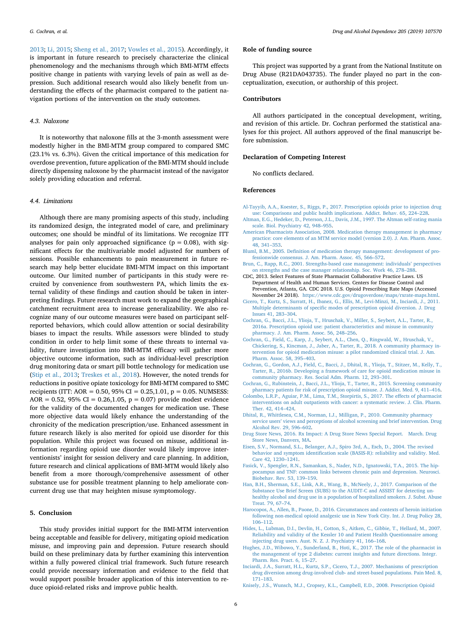*G. Cochran, et al. Drug and Alcohol Dependence 205 (2019) 107570*

[2013;](#page-6-28) [Li, 2015](#page-6-29); [Sheng et al., 2017](#page-6-30); [Vowles et al., 2015](#page-6-31)). Accordingly, it is important in future research to precisely characterize the clinical phenomenology and the mechanisms through which BMI-MTM effects positive change in patients with varying levels of pain as well as depression. Such additional research would also likely benefit from understanding the effects of the pharmacist compared to the patient navigation portions of the intervention on the study outcomes.

# *4.3. Naloxone*

It is noteworthy that naloxone fills at the 3-month assessment were modestly higher in the BMI-MTM group compared to compared SMC (23.1% vs. 6.3%). Given the critical importance of this medication for overdose prevention, future application of the BMI-MTM should include directly dispensing naloxone by the pharmacist instead of the navigator solely providing education and referral.

## *4.4. Limitations*

Although there are many promising aspects of this study, including its randomized design, the integrated model of care, and preliminary outcomes; one should be mindful of its limitations. We recognize ITT analyses for pain only approached significance ( $p = 0.08$ ), with significant effects for the multivariable model adjusted for numbers of sessions. Possible enhancements to pain measurement in future research may help better elucidate BMI-MTM impact on this important outcome. Our limited number of participants in this study were recruited by convenience from southwestern PA, which limits the external validity of these findings and caution should be taken in interpreting findings. Future research must work to expand the geographical catchment recruitment area to increase generalizability. We also recognize many of our outcome measures were based on participant selfreported behaviors, which could allow attention or social desirability biases to impact the results. While assessors were blinded to study condition in order to help limit some of these threats to internal validity, future investigation into BMI-MTM efficacy will gather more objective outcome information, such as individual-level prescription drug monitoring data or smart pill bottle technology for medication use ([Stip et al., 2013;](#page-6-32) [Treskes et al., 2018\)](#page-6-33). However, the noted trends for reductions in positive opiate toxicology for BMI-MTM compared to SMC recipients (ITT: AOR = 0.50, 95% CI = 0.25,1.01, p = 0.05. NUMSESS: AOR = 0.52, 95% CI = 0.26,1.05,  $p = 0.07$ ) provide modest evidence for the validity of the documented changes for medication use. These more objective data would likely enhance the understanding of the chronicity of the medication prescription/use. Enhanced assessment in future research likely is also merited for opioid use disorder for this population. While this project was focused on misuse, additional information regarding opioid use disorder would likely improve interventionists' insight for session delivery and care planning. In addition, future research and clinical applications of BMI-MTM would likely also benefit from a more thorough/comprehensive assessment of other substance use for possible treatment planning to help ameliorate concurrent drug use that may heighten misuse symptomology.

# **5. Conclusion**

This study provides initial support for the BMI-MTM intervention being acceptable and feasible for delivery, mitigating opioid medication misuse, and improving pain and depression. Future research should build on these preliminary data by further examining this intervention within a fully powered clinical trial framework. Such future research could provide necessary information and evidence to the field that would support possible broader application of this intervention to reduce opioid-related risks and improve public health.

#### **Role of funding source**

This project was supported by a grant from the National Institute on Drug Abuse (R21DA043735). The funder played no part in the conceptualization, execution, or authorship of this project.

## **Contributors**

All authors participated in the conceptual development, writing, and revision of this article. Dr. Cochran performed the statistical analyses for this project. All authors approved of the final manuscript before submission.

## **Declaration of Competing Interest**

No conflicts declared.

## **References**

- <span id="page-5-0"></span>[Al-Tayyib, A.A., Koester, S., Riggs, P., 2017. Prescription opioids prior to injection drug](http://refhub.elsevier.com/S0376-8716(19)30347-3/sbref0005) [use: Comparisons and public health implications. Addict. Behav. 65, 224–228](http://refhub.elsevier.com/S0376-8716(19)30347-3/sbref0005).
- <span id="page-5-15"></span>[Altman, E.G., Hedeker, D., Peterson, J.L., Davis, J.M., 1997. The Altman self-rating mania](http://refhub.elsevier.com/S0376-8716(19)30347-3/sbref0010) [scale. Biol. Psychiatry 42, 948–955.](http://refhub.elsevier.com/S0376-8716(19)30347-3/sbref0010)
- <span id="page-5-16"></span>[American Pharmacists Association, 2008. Medication therapy management in pharmacy](http://refhub.elsevier.com/S0376-8716(19)30347-3/sbref0015) [practice: core elements of an MTM service model \(version 2.0\). J. Am. Pharm. Assoc.](http://refhub.elsevier.com/S0376-8716(19)30347-3/sbref0015) [48, 341–353](http://refhub.elsevier.com/S0376-8716(19)30347-3/sbref0015).
- <span id="page-5-17"></span>[Bluml, B.M., 2005. Definition of medication therapy management: development of pro](http://refhub.elsevier.com/S0376-8716(19)30347-3/sbref0020)[fessionwide consensus. J. Am. Pharm. Assoc. 45, 566–572](http://refhub.elsevier.com/S0376-8716(19)30347-3/sbref0020).
- <span id="page-5-18"></span>[Brun, C., Rapp, R.C., 2001. Strengths-based case management: individuals' perspectives](http://refhub.elsevier.com/S0376-8716(19)30347-3/sbref0025) [on strengths and the case manager relationship. Soc. Work 46, 278–288](http://refhub.elsevier.com/S0376-8716(19)30347-3/sbref0025).
- <span id="page-5-5"></span>CDC, 2013. Select Features of State Pharmacist Collaborative Practice Laws. US Department of Health and Human Services. Centers for Disease Control and Prevention, Atlanta, GA. CDC 2018. U.S. Opioid Prescribing Rate Maps (Accessed November 24 2018). <https://www.cdc.gov/drugoverdose/maps/rxrate-maps.html>.
- <span id="page-5-2"></span>[Cicero, T., Kurtz, S., Surratt, H., Ibanez, G., Ellis, M., Levi-Minzi, M., Inciardi, J., 2011.](http://refhub.elsevier.com/S0376-8716(19)30347-3/sbref0035) [Multiple determinants of specific modes of prescription opioid diversion. J. Drug](http://refhub.elsevier.com/S0376-8716(19)30347-3/sbref0035) [Issues 41, 283–304.](http://refhub.elsevier.com/S0376-8716(19)30347-3/sbref0035)
- <span id="page-5-6"></span>[Cochran, G., Bacci, J.L., Ylioja, T., Hruschak, V., Miller, S., Seybert, A.L., Tarter, R.,](http://refhub.elsevier.com/S0376-8716(19)30347-3/sbref0040) [2016a. Prescription opioid use: patient characteristics and misuse in community](http://refhub.elsevier.com/S0376-8716(19)30347-3/sbref0040) [pharmacy. J. Am. Pharm. Assoc. 56, 248–256](http://refhub.elsevier.com/S0376-8716(19)30347-3/sbref0040).
- <span id="page-5-12"></span>[Cochran, G., Field, C., Karp, J., Seybert, A.L., Chen, Q., Ringwald, W., Hruschak, V.,](http://refhub.elsevier.com/S0376-8716(19)30347-3/sbref0045) [Chickering, S., Kincman, J., Jaber, A., Tarter, R., 2018. A community pharmacy in](http://refhub.elsevier.com/S0376-8716(19)30347-3/sbref0045)[tervention for opioid medication misuse: a pilot randomized clinical trial. J. Am.](http://refhub.elsevier.com/S0376-8716(19)30347-3/sbref0045) [Pharm. Assoc. 58, 395–403.](http://refhub.elsevier.com/S0376-8716(19)30347-3/sbref0045)
- <span id="page-5-7"></span>[Cochran, G., Gordon, A.J., Field, C., Bacci, J., Dhital, R., Ylioja, T., Stitzer, M., Kelly, T.,](http://refhub.elsevier.com/S0376-8716(19)30347-3/sbref0050) [Tarter, R., 2016b. Developing a framework of care for opioid medication misuse in](http://refhub.elsevier.com/S0376-8716(19)30347-3/sbref0050) [community pharmacy. Res. Social Adm. Pharm. 12, 293–301.](http://refhub.elsevier.com/S0376-8716(19)30347-3/sbref0050)
- <span id="page-5-8"></span>[Cochran, G., Rubinstein, J., Bacci, J.L., Ylioja, T., Tarter, R., 2015. Screening community](http://refhub.elsevier.com/S0376-8716(19)30347-3/sbref0055) [pharmacy patients for risk of prescription opioid misuse. J. Addict. Med. 9, 411–416.](http://refhub.elsevier.com/S0376-8716(19)30347-3/sbref0055)
- <span id="page-5-10"></span>[Colombo, L.R.P., Aguiar, P.M., Lima, T.M., Storpirtis, S., 2017. The effects of pharmacist](http://refhub.elsevier.com/S0376-8716(19)30347-3/sbref0060) [interventions on adult outpatients with cancer: a systematic review. J. Clin. Pharm.](http://refhub.elsevier.com/S0376-8716(19)30347-3/sbref0060) [Ther. 42, 414–424](http://refhub.elsevier.com/S0376-8716(19)30347-3/sbref0060).
- <span id="page-5-9"></span>[Dhital, R., Whittlesea, C.M., Norman, I.J., Milligan, P., 2010. Community pharmacy](http://refhub.elsevier.com/S0376-8716(19)30347-3/sbref0065) [service users' views and perceptions of alcohol screening and brief intervention. Drug](http://refhub.elsevier.com/S0376-8716(19)30347-3/sbref0065) [Alcohol Rev. 29, 596–602.](http://refhub.elsevier.com/S0376-8716(19)30347-3/sbref0065)
- <span id="page-5-4"></span>[Drug Store News, 2016. Rx Impact: A Drug Store News Special Report. March. Drug](http://refhub.elsevier.com/S0376-8716(19)30347-3/sbref0070) [Store News, Danvers, MA](http://refhub.elsevier.com/S0376-8716(19)30347-3/sbref0070).
- <span id="page-5-14"></span>[Eisen, S.V., Normand, S.L., Belanger, A.J., Spiro 3rd, A., Esch, D., 2004. The revised](http://refhub.elsevier.com/S0376-8716(19)30347-3/sbref0075) [behavior and symptom identification scale \(BASIS-R\): reliability and validity. Med.](http://refhub.elsevier.com/S0376-8716(19)30347-3/sbref0075) [Care 42, 1230–1241.](http://refhub.elsevier.com/S0376-8716(19)30347-3/sbref0075)
- <span id="page-5-21"></span>[Fasick, V., Spengler, R.N., Samankan, S., Nader, N.D., Ignatowski, T.A., 2015. The hip](http://refhub.elsevier.com/S0376-8716(19)30347-3/sbref0080)[pocampus and TNF: common links between chronic pain and depression. Neurosci.](http://refhub.elsevier.com/S0376-8716(19)30347-3/sbref0080) [Biobehav. Rev. 53, 139–159](http://refhub.elsevier.com/S0376-8716(19)30347-3/sbref0080).
- <span id="page-5-20"></span>[Han, B.H., Sherman, S.E., Link, A.R., Wang, B., McNeely, J., 2017. Comparison of the](http://refhub.elsevier.com/S0376-8716(19)30347-3/sbref0085) [Substance Use Brief Screen \(SUBS\) to the AUDIT-C and ASSIST for detecting un](http://refhub.elsevier.com/S0376-8716(19)30347-3/sbref0085)[healthy alcohol and drug use in a population of hospitalized smokers. J. Subst. Abuse](http://refhub.elsevier.com/S0376-8716(19)30347-3/sbref0085) [Treat. 79, 67–74.](http://refhub.elsevier.com/S0376-8716(19)30347-3/sbref0085)
- <span id="page-5-1"></span>[Harocopos, A., Allen, B., Paone, D., 2016. Circumstances and contexts of heroin initiation](http://refhub.elsevier.com/S0376-8716(19)30347-3/sbref0090) [following non-medical opioid analgesic use in New York City. Int. J. Drug Policy 28,](http://refhub.elsevier.com/S0376-8716(19)30347-3/sbref0090) [106–112](http://refhub.elsevier.com/S0376-8716(19)30347-3/sbref0090).
- <span id="page-5-19"></span>[Hides, L., Lubman, D.I., Devlin, H., Cotton, S., Aitken, C., Gibbie, T., Hellard, M., 2007.](http://refhub.elsevier.com/S0376-8716(19)30347-3/sbref0095) [Reliability and validity of the Kessler 10 and Patient Health Questionnaire among](http://refhub.elsevier.com/S0376-8716(19)30347-3/sbref0095)
- <span id="page-5-11"></span>[injecting drug users. Aust. N. Z. J. Psychiatry 41, 166–168.](http://refhub.elsevier.com/S0376-8716(19)30347-3/sbref0095) [Hughes, J.D., Wibowo, Y., Sunderland, B., Hoti, K., 2017. The role of the pharmacist in](http://refhub.elsevier.com/S0376-8716(19)30347-3/sbref0100) [the management of type 2 diabetes: current insights and future directions. Integr.](http://refhub.elsevier.com/S0376-8716(19)30347-3/sbref0100) [Pharm. Res. Pract. 6, 15–27](http://refhub.elsevier.com/S0376-8716(19)30347-3/sbref0100).
- <span id="page-5-3"></span>[Inciardi, J.A., Surratt, H.L., Kurtz, S.P., Cicero, T.J., 2007. Mechanisms of prescription](http://refhub.elsevier.com/S0376-8716(19)30347-3/sbref0105) [drug diversion among drug-involved club- and street-based populations. Pain Med. 8,](http://refhub.elsevier.com/S0376-8716(19)30347-3/sbref0105) [171–183](http://refhub.elsevier.com/S0376-8716(19)30347-3/sbref0105).

<span id="page-5-13"></span>[Knisely, J.S., Wunsch, M.J., Cropsey, K.L., Campbell, E.D., 2008. Prescription Opioid](http://refhub.elsevier.com/S0376-8716(19)30347-3/sbref0110)